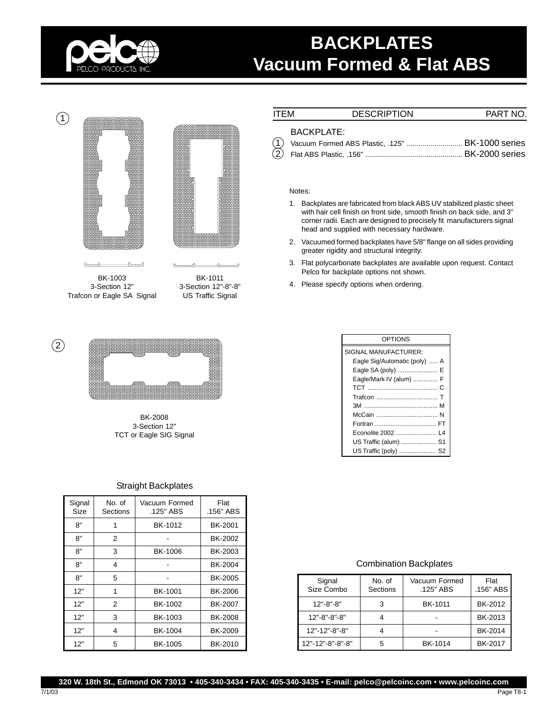

# **BACKPLATES Vacuum Formed & Flat ABS**



Barry  $v_{\alpha\beta}$ BK-1003

3-Section 12" Trafcon or Eagle SA Signal

BK-1011 3-Section 12"-8"-8" US Traffic Signal

 $8$ 

Bunch



BK-2008 3-Section 12" TCT or Eagle SIG Signal

## Straight Backplates

| Signal<br>Size | No. of<br>Sections | Vacuum Formed<br>.125" ABS | Flat<br>.156" ABS |
|----------------|--------------------|----------------------------|-------------------|
| 8"             | 1                  | BK-1012                    | BK-2001           |
| 8"             | 2                  |                            | BK-2002           |
| 8"             | 3                  | BK-1006                    | BK-2003           |
| 8"             | 4                  |                            | BK-2004           |
| 8"             | 5                  |                            | <b>BK-2005</b>    |
| 12"            | 1                  | BK-1001                    | <b>BK-2006</b>    |
| 12"            | 2                  | BK-1002                    | BK-2007           |
| 12"            | 3                  | BK-1003                    | BK-2008           |
| 12"            | 4                  | BK-1004                    | BK-2009           |
| 12"            | 5                  | <b>BK-1005</b>             | BK-2010           |

| ITEM                                    | <b>DESCRIPTION</b> | PART NO. |
|-----------------------------------------|--------------------|----------|
| <b>BACKPLATE:</b><br>$\curvearrowright$ |                    | _        |

#### Notes:

 $\left($ 

- 1. Backplates are fabricated from black ABS UV stabilized plastic sheet with hair cell finish on front side, smooth finish on back side, and 3" corner radii. Each are designed to precisely fit manufacturers signal head and supplied with necessary hardware.
- 2. Vacuumed formed backplates have 5/8" flange on all sides providing greater rigidity and structural integrity.
- 3. Flat polycarbonate backplates are available upon request. Contact Pelco for backplate options not shown.
- 4. Please specify options when ordering.

| <b>OPTIONS</b>                |
|-------------------------------|
| SIGNAL MANUFACTURER:          |
| Eagle Sig/Automatic (poly)  A |
| Eagle SA (poly)  E            |
| Eagle/Mark IV (alum)  F       |
|                               |
|                               |
|                               |
|                               |
|                               |
| Econolite 2002  L4            |
| US Traffic (alum)  S1         |
| US Traffic (poly)  S2         |

### Combination Backplates

| Signal<br>Size Combo | No. of<br>Sections | Vacuum Formed<br>.125" ABS | Flat<br>.156" ABS |
|----------------------|--------------------|----------------------------|-------------------|
| $12" - 8" - 8"$      | 3                  | BK-1011                    | BK-2012           |
| $12" - 8" - 8" - 8"$ |                    |                            | BK-2013           |
| 12"-12"-8"-8"        |                    |                            | BK-2014           |
| 12"-12"-8"-8"-8"     | 5                  | BK-1014                    | BK-2017           |